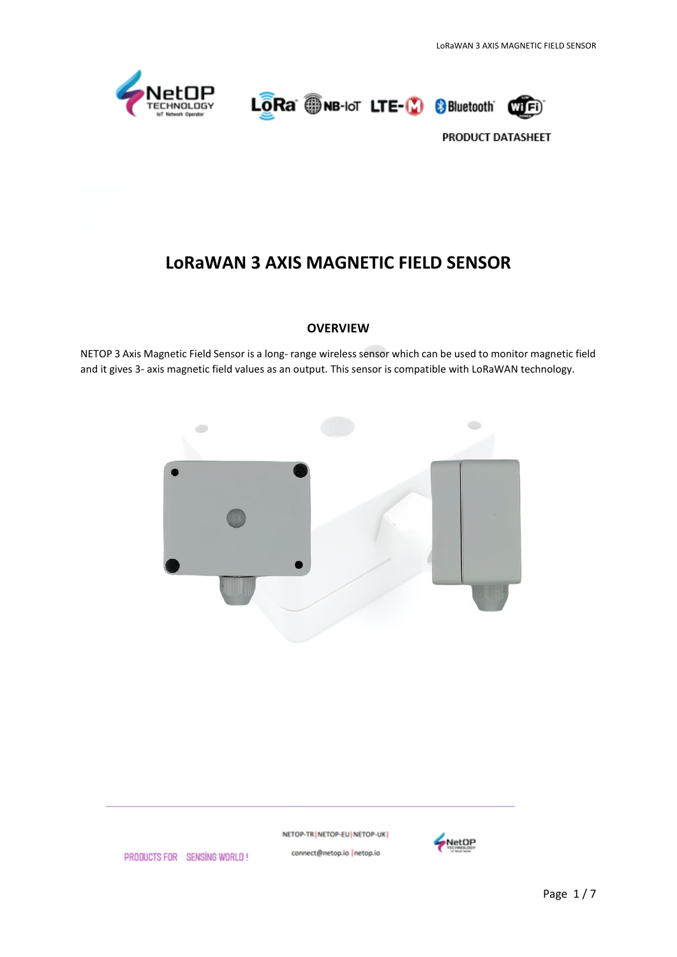





# **LoRaWAN 3 AXIS MAGNETIC FIELD SENSOR**

## **OVERVIEW**

NETOP 3 Axis Magnetic Field Sensor is a long- range wireless sensor which can be used to monitor magnetic field and it gives 3- axis magnetic field values as an output. This sensor is compatible with LoRaWAN technology.



NETOP-TR | NETOP-EU | NETOP-UK | connect@netop.io |netop.io



PRODUCTS FOR SENSING WORLD!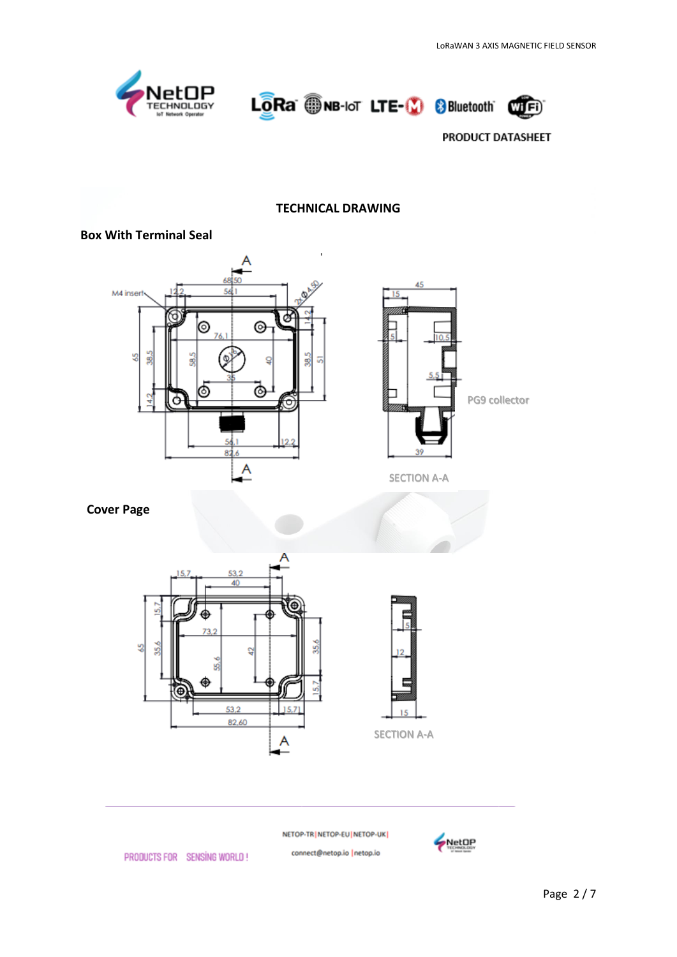





#### **TECHNICAL DRAWING**

## **Box With Terminal Seal**





SECTION A-A

## **Cover Page**





NETOP-TR | NETOP-EU | NETOP-UK |

connect@netop.io |netop.io



PRODUCTS FOR SENSING WORLD!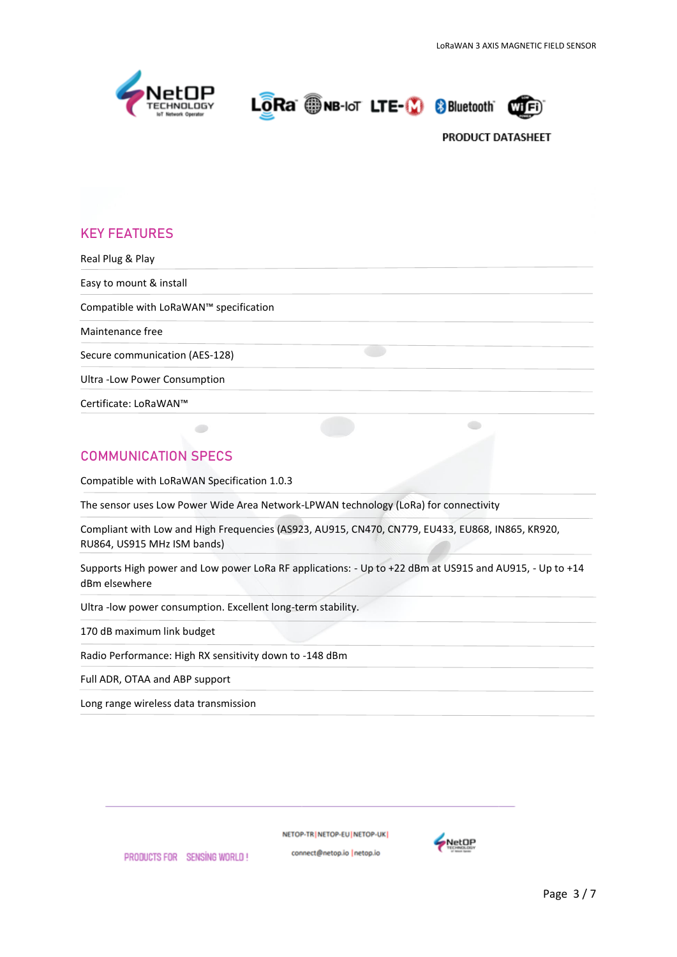





# **KEY FEATURES**

| Real Plug & Play                       |  |
|----------------------------------------|--|
| Easy to mount & install                |  |
| Compatible with LoRaWAN™ specification |  |
| Maintenance free                       |  |
| Secure communication (AES-128)         |  |
| Ultra - Low Power Consumption          |  |
| Certificate: LoRaWAN™                  |  |

# **COMMUNICATION SPECS**

Compatible with LoRaWAN Specification 1.0.3

 $\bullet$ 

The sensor uses Low Power Wide Area Network-LPWAN technology (LoRa) for connectivity

Compliant with Low and High Frequencies (AS923, AU915, CN470, CN779, EU433, EU868, IN865, KR920, RU864, US915 MHz ISM bands)

Supports High power and Low power LoRa RF applications: - Up to +22 dBm at US915 and AU915, - Up to +14 dBm elsewhere

Ultra -low power consumption. Excellent long-term stability.

170 dB maximum link budget

Radio Performance: High RX sensitivity down to -148 dBm

Full ADR, OTAA and ABP support

Long range wireless data transmission

PRODUCTS FOR SENSING WORLD!

NETOP-TR NETOP-EU NETOP-UK

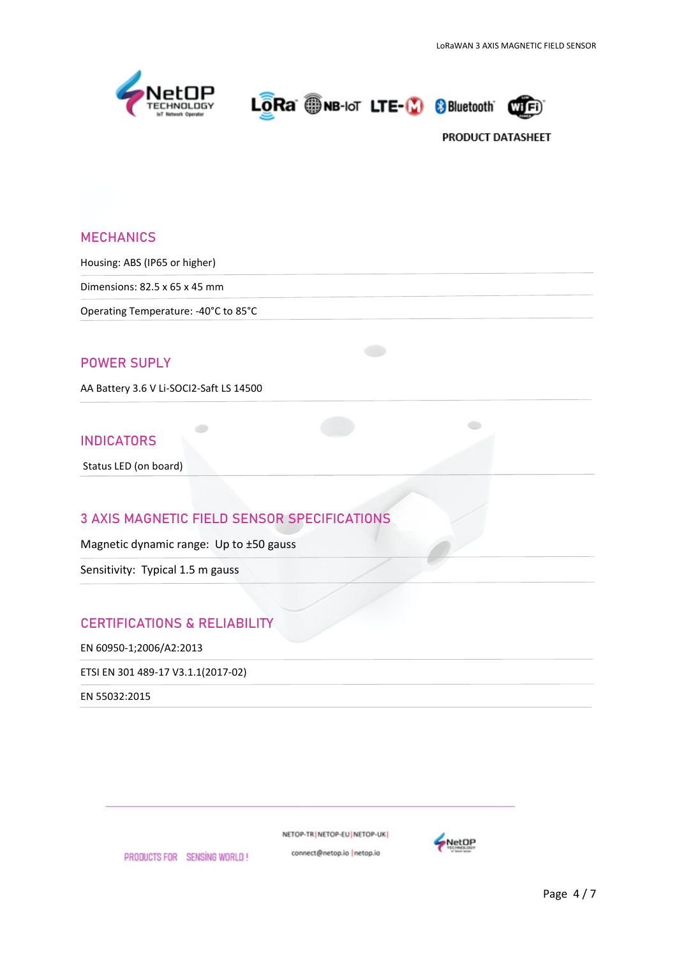





## **MECHANICS**

Housing: ABS (IP65 or higher)

Dimensions: 82.5 x 65 x 45 mm

Operating Temperature: -40°C to 85°C

## **POWER SUPLY**

AA Battery 3.6 V Li-SOCI2-Saft LS 14500

## **INDICATORS**

Status LED (on board)

# **3 AXIS MAGNETIC FIELD SENSOR SPECIFICATIONS**

Magnetic dynamic range: Up to ±50 gauss

 $\bullet$ 

Sensitivity: Typical 1.5 m gauss

## **CERTIFICATIONS & RELIABILITY**

EN 60950-1;2006/A2:2013

ETSI EN 301 489-17 V3.1.1(2017-02)

EN 55032:2015

NETOP-TR NETOP-EU NETOP-UK

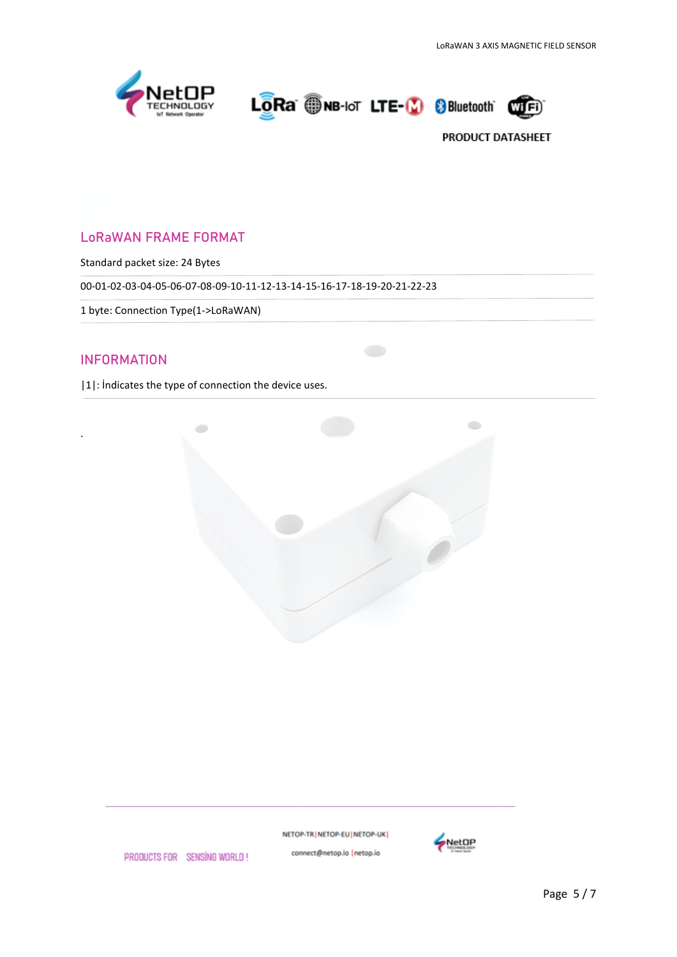



# LoRaWAN FRAME FORMAT

Standard packet size: 24 Bytes

00-01-02-03-04-05-06-07-08-09-10-11-12-13-14-15-16-17-18-19-20-21-22-23

1 byte: Connection Type(1->LoRaWAN)

# INFORMATION

.

|1|: İndicates the type of connection the device uses.



NETOP-TR | NETOP-EU | NETOP-UK | connect@netop.io |netop.io



PRODUCTS FOR SENSING WORLD!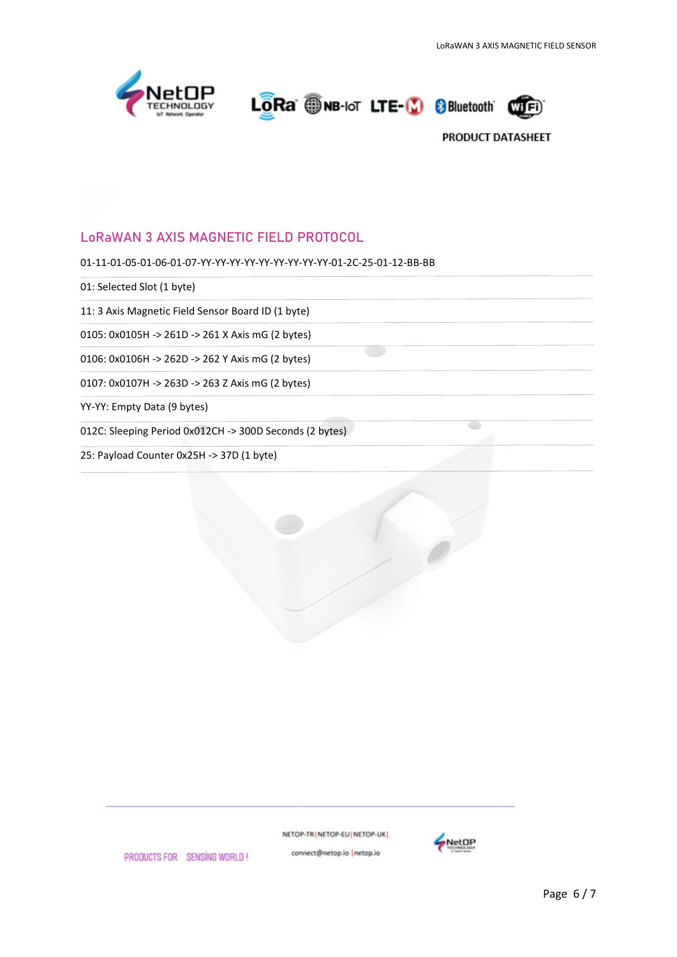

LORa ONB-IoT LTE-10 8 Bluetooth



# LoRaWAN 3 AXIS MAGNETIC FIELD PROTOCOL

01-11-01-05-01-06-01-07-YY-YY-YY-YY-YY-YY-YY-YY-YY-01-2C-25-01-12-BB-BB

01: Selected Slot (1 byte)

11: 3 Axis Magnetic Field Sensor Board ID (1 byte)

0105: 0x0105H -> 261D -> 261 X Axis mG (2 bytes)

0106: 0x0106H -> 262D -> 262 Y Axis mG (2 bytes)

0107: 0x0107H -> 263D -> 263 Z Axis mG (2 bytes)

YY-YY: Empty Data (9 bytes)

012C: Sleeping Period 0x012CH -> 300D Seconds (2 bytes)

25: Payload Counter 0x25H -> 37D (1 byte)

NETOP-TR NETOP-EU NETOP-UK



PRODUCTS FOR SENSING WORLD!